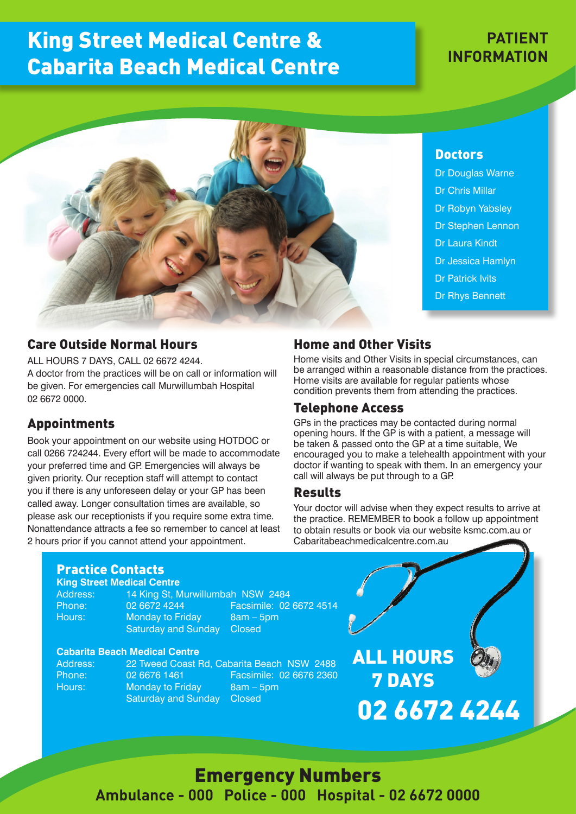# King Street Medical Centre & Cabarita Beach Medical Centre

## **PATIENT INFORMATION**



#### Care Outside Normal Hours

ALL HOURS 7 DAYS, CALL 02 6672 4244. A doctor from the practices will be on call or information will be given. For emergencies call Murwillumbah Hospital 02 6672 0000.

#### Appointments

Book your appointment on our website using HOTDOC or call 0266 724244. Every effort will be made to accommodate your preferred time and GP. Emergencies will always be given priority. Our reception staff will attempt to contact you if there is any unforeseen delay or your GP has been called away. Longer consultation times are available, so please ask our receptionists if you require some extra time. Nonattendance attracts a fee so remember to cancel at least 2 hours prior if you cannot attend your appointment.

#### Home and Other Visits

Home visits and Other Visits in special circumstances, can be arranged within a reasonable distance from the practices. Home visits are available for regular patients whose condition prevents them from attending the practices.

#### Telephone Access

GPs in the practices may be contacted during normal opening hours. If the GP is with a patient, a message will be taken & passed onto the GP at a time suitable, We encouraged you to make a telehealth appointment with your doctor if wanting to speak with them. In an emergency your call will always be put through to a GP.

#### Results

Your doctor will advise when they expect results to arrive at the practice. REMEMBER to book a follow up appointment to obtain results or book via our website ksmc.com.au or Cabaritabeachmedicalcentre.com.au

#### Practice Contacts

#### **King Street Medical Centre**

Address: 14 King St, Murwillumbah NSW 2484 Hours: Monday to Friday 8am – 5pm Saturday and Sunday Closed

Phone: 02 6672 4244 Facsimile: 02 6672 4514

# **Cabarita Beach Medical Centre**<br>Address: 22 Tweed Coast I

Hours: Monday to Friday 8am – 5pm Saturday and Sunday Closed

22 Tweed Coast Rd, Cabarita Beach NSW 2488 Phone: 02 6676 1461 Facsimile: 02 6676 2360

ALL HOURS 7 DAYS 02 6672 4244

Emergency Numbers **Ambulance - 000 Police - 000 Hospital - 02 6672 0000**

#### **Doctors**

Dr Douglas Warne Dr Chris Millar Dr Robyn Yabsley Dr Stephen Lennon Dr Laura Kindt Dr Jessica Hamlyn Dr Patrick Ivits Dr Rhys Bennett